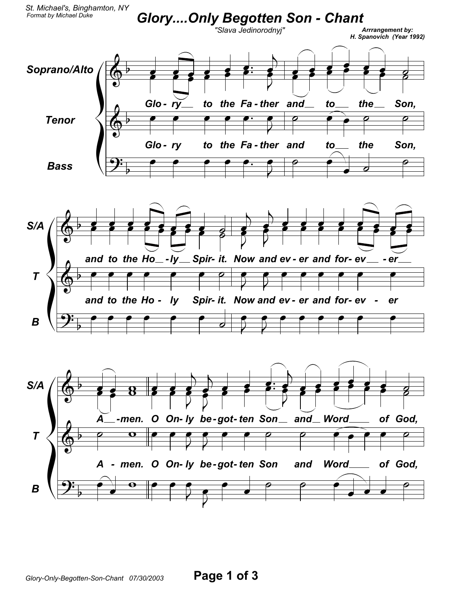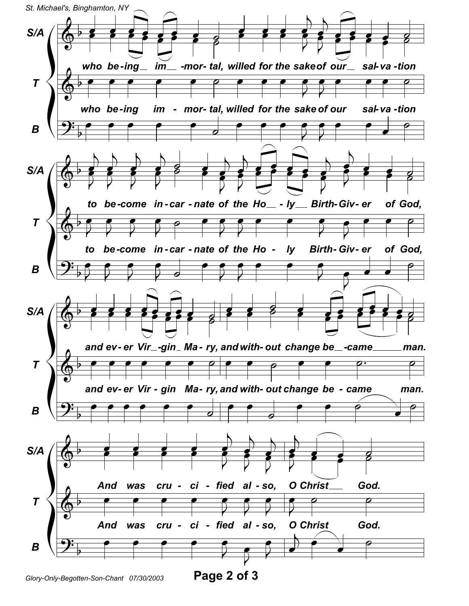